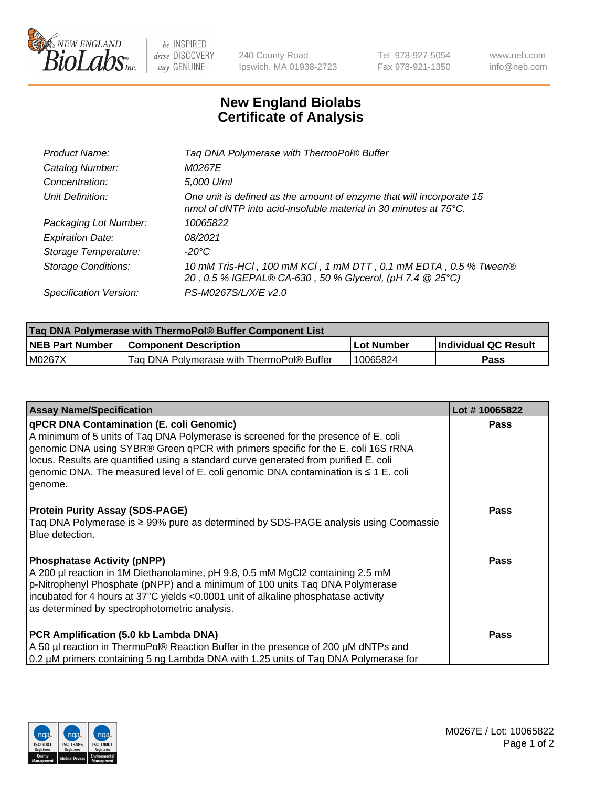

 $be$  INSPIRED drive DISCOVERY stay GENUINE

240 County Road Ipswich, MA 01938-2723 Tel 978-927-5054 Fax 978-921-1350 www.neb.com info@neb.com

## **New England Biolabs Certificate of Analysis**

| Product Name:              | Tag DNA Polymerase with ThermoPol® Buffer                                                                                                |
|----------------------------|------------------------------------------------------------------------------------------------------------------------------------------|
| Catalog Number:            | M0267E                                                                                                                                   |
| Concentration:             | 5,000 U/ml                                                                                                                               |
| Unit Definition:           | One unit is defined as the amount of enzyme that will incorporate 15<br>nmol of dNTP into acid-insoluble material in 30 minutes at 75°C. |
| Packaging Lot Number:      | 10065822                                                                                                                                 |
| <b>Expiration Date:</b>    | 08/2021                                                                                                                                  |
| Storage Temperature:       | $-20^{\circ}$ C                                                                                                                          |
| <b>Storage Conditions:</b> | 10 mM Tris-HCl, 100 mM KCl, 1 mM DTT, 0.1 mM EDTA, 0.5 % Tween®<br>20, 0.5 % IGEPAL® CA-630, 50 % Glycerol, (pH 7.4 @ 25°C)              |
| Specification Version:     | PS-M0267S/L/X/E v2.0                                                                                                                     |

| Taq DNA Polymerase with ThermoPol® Buffer Component List |                                           |            |                      |  |
|----------------------------------------------------------|-------------------------------------------|------------|----------------------|--|
| <b>NEB Part Number</b>                                   | <b>Component Description</b>              | Lot Number | Individual QC Result |  |
| M0267X                                                   | Tag DNA Polymerase with ThermoPol® Buffer | 10065824   | Pass                 |  |

| <b>Assay Name/Specification</b>                                                                                                                                                                                                                                                                                                                                                                                           | Lot #10065822 |
|---------------------------------------------------------------------------------------------------------------------------------------------------------------------------------------------------------------------------------------------------------------------------------------------------------------------------------------------------------------------------------------------------------------------------|---------------|
| <b>qPCR DNA Contamination (E. coli Genomic)</b><br>A minimum of 5 units of Taq DNA Polymerase is screened for the presence of E. coli<br>genomic DNA using SYBR® Green qPCR with primers specific for the E. coli 16S rRNA<br>locus. Results are quantified using a standard curve generated from purified E. coli<br>genomic DNA. The measured level of E. coli genomic DNA contamination is $\leq 1$ E. coli<br>genome. | <b>Pass</b>   |
| <b>Protein Purity Assay (SDS-PAGE)</b><br>Taq DNA Polymerase is ≥ 99% pure as determined by SDS-PAGE analysis using Coomassie<br>Blue detection.                                                                                                                                                                                                                                                                          | Pass          |
| <b>Phosphatase Activity (pNPP)</b><br>A 200 µl reaction in 1M Diethanolamine, pH 9.8, 0.5 mM MgCl2 containing 2.5 mM<br>p-Nitrophenyl Phosphate (pNPP) and a minimum of 100 units Taq DNA Polymerase<br>incubated for 4 hours at 37°C yields <0.0001 unit of alkaline phosphatase activity<br>as determined by spectrophotometric analysis.                                                                               | <b>Pass</b>   |
| PCR Amplification (5.0 kb Lambda DNA)<br>A 50 µl reaction in ThermoPol® Reaction Buffer in the presence of 200 µM dNTPs and<br>0.2 µM primers containing 5 ng Lambda DNA with 1.25 units of Tag DNA Polymerase for                                                                                                                                                                                                        | <b>Pass</b>   |